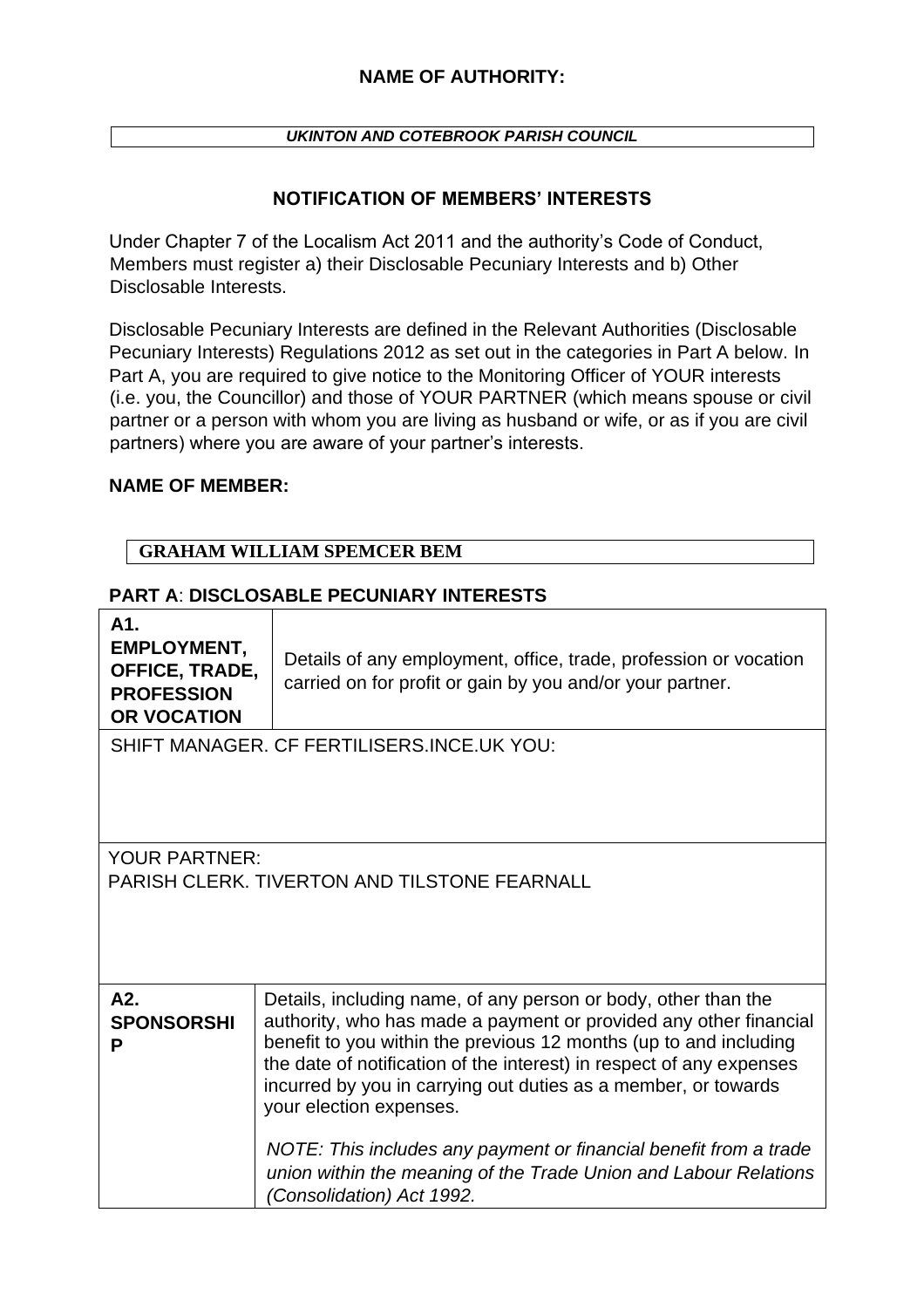*UKINTON AND COTEBROOK PARISH COUNCIL*

### **NOTIFICATION OF MEMBERS' INTERESTS**

Under Chapter 7 of the Localism Act 2011 and the authority's Code of Conduct, Members must register a) their Disclosable Pecuniary Interests and b) Other Disclosable Interests.

Disclosable Pecuniary Interests are defined in the Relevant Authorities (Disclosable Pecuniary Interests) Regulations 2012 as set out in the categories in Part A below. In Part A, you are required to give notice to the Monitoring Officer of YOUR interests (i.e. you, the Councillor) and those of YOUR PARTNER (which means spouse or civil partner or a person with whom you are living as husband or wife, or as if you are civil partners) where you are aware of your partner's interests.

### **NAME OF MEMBER:**

### **GRAHAM WILLIAM SPEMCER BEM**

### **PART A**: **DISCLOSABLE PECUNIARY INTERESTS**

| A1.<br><b>EMPLOYMENT,</b><br>OFFICE, TRADE,<br><b>PROFESSION</b><br><b>OR VOCATION</b> | Details of any employment, office, trade, profession or vocation<br>carried on for profit or gain by you and/or your partner.                                                                                                                                                                                                                                                                                                                                                                                                                       |  |
|----------------------------------------------------------------------------------------|-----------------------------------------------------------------------------------------------------------------------------------------------------------------------------------------------------------------------------------------------------------------------------------------------------------------------------------------------------------------------------------------------------------------------------------------------------------------------------------------------------------------------------------------------------|--|
| SHIFT MANAGER, CF FERTILISERS.INCE.UK YOU:                                             |                                                                                                                                                                                                                                                                                                                                                                                                                                                                                                                                                     |  |
| YOUR PARTNER:<br><b>PARISH CLERK, TIVERTON AND TILSTONE FEARNALL</b>                   |                                                                                                                                                                                                                                                                                                                                                                                                                                                                                                                                                     |  |
| A2.<br><b>SPONSORSHI</b><br>P                                                          | Details, including name, of any person or body, other than the<br>authority, who has made a payment or provided any other financial<br>benefit to you within the previous 12 months (up to and including<br>the date of notification of the interest) in respect of any expenses<br>incurred by you in carrying out duties as a member, or towards<br>your election expenses.<br>NOTE: This includes any payment or financial benefit from a trade<br>union within the meaning of the Trade Union and Labour Relations<br>(Consolidation) Act 1992. |  |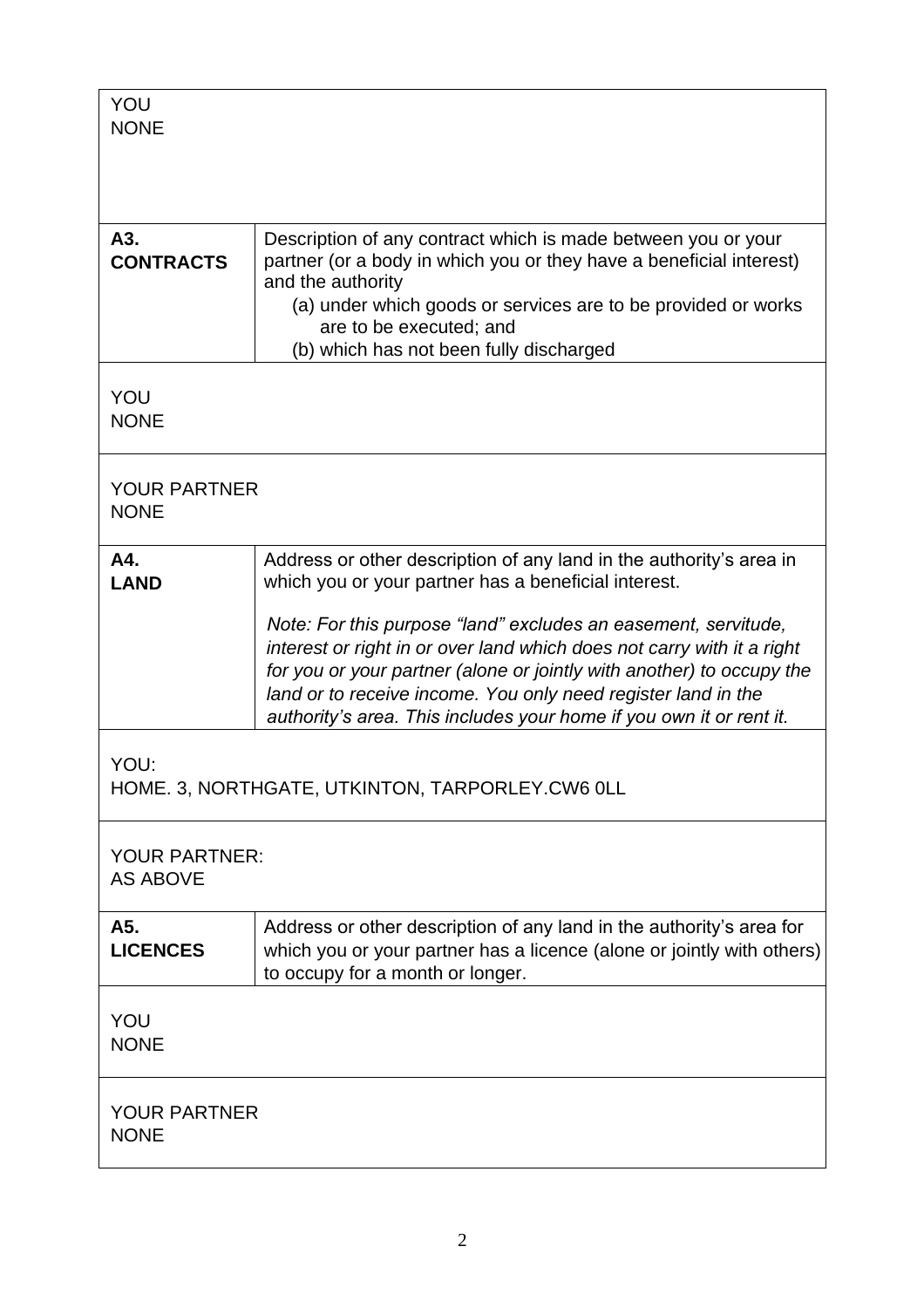| YOU<br><b>NONE</b>                                      |                                                                                                                                                                                                                                                                                                                                                           |  |
|---------------------------------------------------------|-----------------------------------------------------------------------------------------------------------------------------------------------------------------------------------------------------------------------------------------------------------------------------------------------------------------------------------------------------------|--|
| A3.<br><b>CONTRACTS</b>                                 | Description of any contract which is made between you or your<br>partner (or a body in which you or they have a beneficial interest)<br>and the authority<br>(a) under which goods or services are to be provided or works<br>are to be executed; and<br>(b) which has not been fully discharged                                                          |  |
| YOU<br><b>NONE</b>                                      |                                                                                                                                                                                                                                                                                                                                                           |  |
| <b>YOUR PARTNER</b><br><b>NONE</b>                      |                                                                                                                                                                                                                                                                                                                                                           |  |
| A4.<br><b>LAND</b>                                      | Address or other description of any land in the authority's area in<br>which you or your partner has a beneficial interest.                                                                                                                                                                                                                               |  |
|                                                         | Note: For this purpose "land" excludes an easement, servitude,<br>interest or right in or over land which does not carry with it a right<br>for you or your partner (alone or jointly with another) to occupy the<br>land or to receive income. You only need register land in the<br>authority's area. This includes your home if you own it or rent it. |  |
| YOU:<br>HOME. 3, NORTHGATE, UTKINTON, TARPORLEY.CW6 OLL |                                                                                                                                                                                                                                                                                                                                                           |  |
| <b>YOUR PARTNER:</b><br><b>AS ABOVE</b>                 |                                                                                                                                                                                                                                                                                                                                                           |  |
| A5.<br><b>LICENCES</b>                                  | Address or other description of any land in the authority's area for<br>which you or your partner has a licence (alone or jointly with others)<br>to occupy for a month or longer.                                                                                                                                                                        |  |
| YOU<br><b>NONE</b>                                      |                                                                                                                                                                                                                                                                                                                                                           |  |
| <b>YOUR PARTNER</b><br><b>NONE</b>                      |                                                                                                                                                                                                                                                                                                                                                           |  |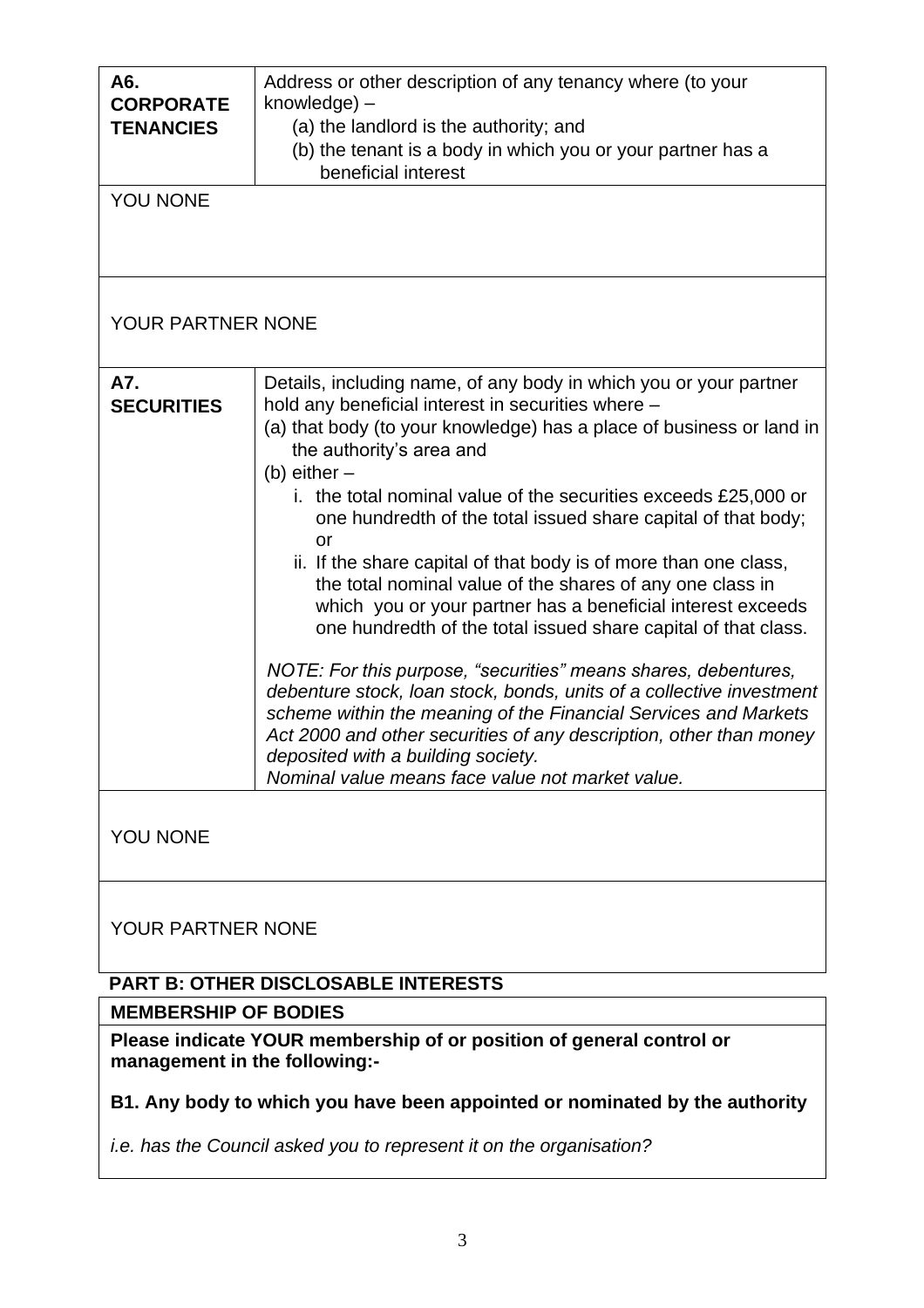| A6.<br><b>CORPORATE</b><br><b>TENANCIES</b><br>YOU NONE | Address or other description of any tenancy where (to your<br>knowledge) -<br>(a) the landlord is the authority; and<br>(b) the tenant is a body in which you or your partner has a<br>beneficial interest                                                                                                                                                                                                                                                                                                                                                                                                                                                                                                                                                                                                                                                                                                                                                                                                                             |  |
|---------------------------------------------------------|----------------------------------------------------------------------------------------------------------------------------------------------------------------------------------------------------------------------------------------------------------------------------------------------------------------------------------------------------------------------------------------------------------------------------------------------------------------------------------------------------------------------------------------------------------------------------------------------------------------------------------------------------------------------------------------------------------------------------------------------------------------------------------------------------------------------------------------------------------------------------------------------------------------------------------------------------------------------------------------------------------------------------------------|--|
|                                                         |                                                                                                                                                                                                                                                                                                                                                                                                                                                                                                                                                                                                                                                                                                                                                                                                                                                                                                                                                                                                                                        |  |
| <b>YOUR PARTNER NONE</b>                                |                                                                                                                                                                                                                                                                                                                                                                                                                                                                                                                                                                                                                                                                                                                                                                                                                                                                                                                                                                                                                                        |  |
| A7.<br><b>SECURITIES</b>                                | Details, including name, of any body in which you or your partner<br>hold any beneficial interest in securities where -<br>(a) that body (to your knowledge) has a place of business or land in<br>the authority's area and<br>(b) either $-$<br>i. the total nominal value of the securities exceeds £25,000 or<br>one hundredth of the total issued share capital of that body;<br>or<br>ii. If the share capital of that body is of more than one class,<br>the total nominal value of the shares of any one class in<br>which you or your partner has a beneficial interest exceeds<br>one hundredth of the total issued share capital of that class.<br>NOTE: For this purpose, "securities" means shares, debentures,<br>debenture stock, loan stock, bonds, units of a collective investment<br>scheme within the meaning of the Financial Services and Markets<br>Act 2000 and other securities of any description, other than money<br>deposited with a building society.<br>Nominal value means face value not market value. |  |
| YOU NONE                                                |                                                                                                                                                                                                                                                                                                                                                                                                                                                                                                                                                                                                                                                                                                                                                                                                                                                                                                                                                                                                                                        |  |
| YOUR PARTNER NONE                                       |                                                                                                                                                                                                                                                                                                                                                                                                                                                                                                                                                                                                                                                                                                                                                                                                                                                                                                                                                                                                                                        |  |

# **PART B: OTHER DISCLOSABLE INTERESTS**

**MEMBERSHIP OF BODIES**

**Please indicate YOUR membership of or position of general control or management in the following:-**

# **B1. Any body to which you have been appointed or nominated by the authority**

*i.e. has the Council asked you to represent it on the organisation?*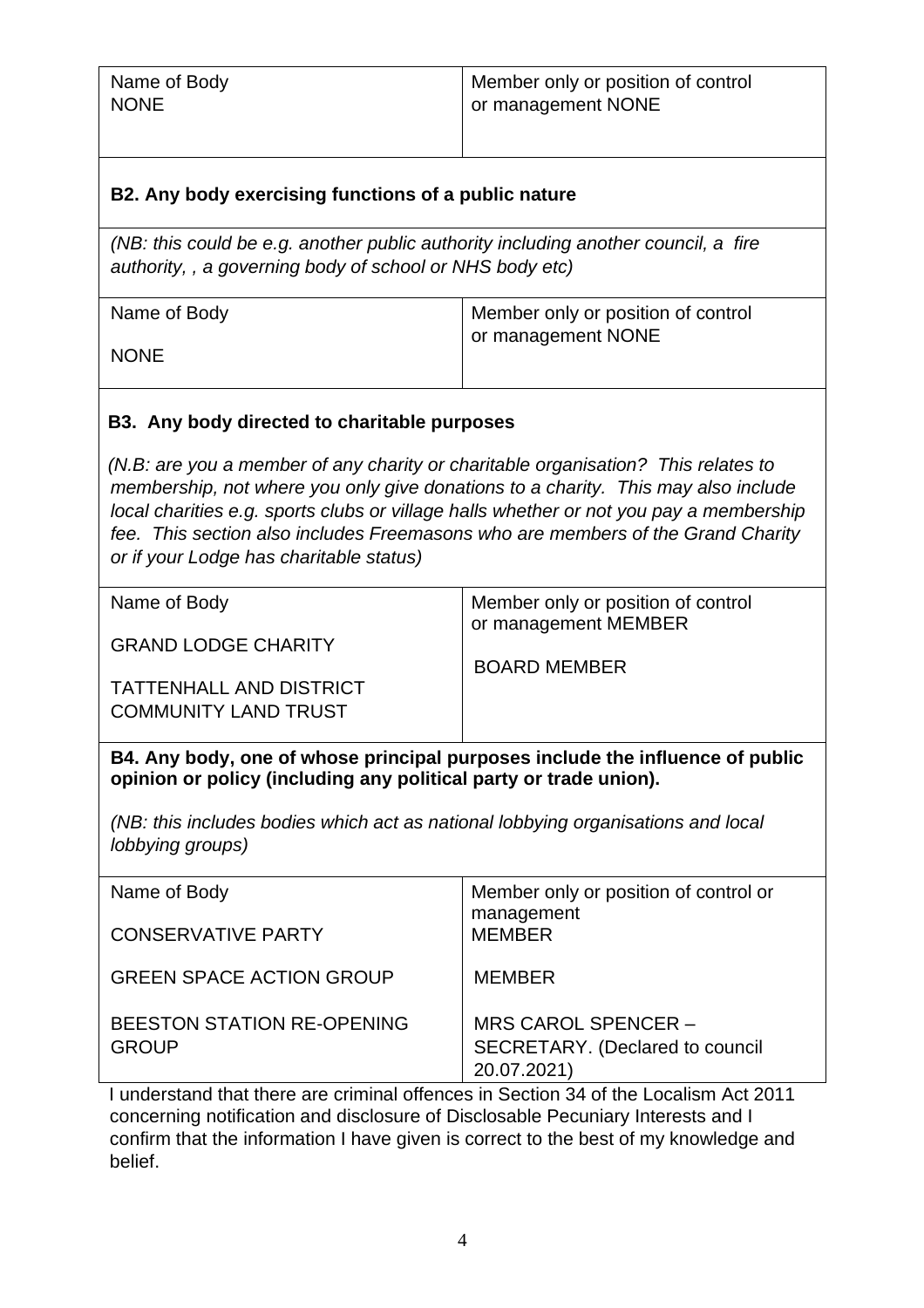| Name of Body | Member only or position of control |
|--------------|------------------------------------|
| <b>NONE</b>  | or management NONE                 |
|              |                                    |

## **B2. Any body exercising functions of a public nature**

*(NB: this could be e.g. another public authority including another council, a fire authority, , a governing body of school or NHS body etc)*

| Name of Body | Member only or position of control |
|--------------|------------------------------------|
| <b>NONE</b>  | or management NONE                 |

### **B3. Any body directed to charitable purposes**

*(N.B: are you a member of any charity or charitable organisation? This relates to membership, not where you only give donations to a charity. This may also include local charities e.g. sports clubs or village halls whether or not you pay a membership fee. This section also includes Freemasons who are members of the Grand Charity or if your Lodge has charitable status)*

| Name of Body                                                  | Member only or position of control<br>or management MEMBER |
|---------------------------------------------------------------|------------------------------------------------------------|
| <b>GRAND LODGE CHARITY</b>                                    | <b>BOARD MEMBER</b>                                        |
| <b>TATTENHALL AND DISTRICT</b><br><b>COMMUNITY LAND TRUST</b> |                                                            |

**B4. Any body, one of whose principal purposes include the influence of public opinion or policy (including any political party or trade union).**

*(NB: this includes bodies which act as national lobbying organisations and local lobbying groups)*

| Name of Body                                      | Member only or position of control or<br>management                          |
|---------------------------------------------------|------------------------------------------------------------------------------|
| <b>CONSERVATIVE PARTY</b>                         | <b>MEMBER</b>                                                                |
| <b>GREEN SPACE ACTION GROUP</b>                   | <b>MEMBER</b>                                                                |
| <b>BEESTON STATION RE-OPENING</b><br><b>GROUP</b> | MRS CAROL SPENCER -<br><b>SECRETARY.</b> (Declared to council<br>20.07.2021) |

I understand that there are criminal offences in Section 34 of the Localism Act 2011 concerning notification and disclosure of Disclosable Pecuniary Interests and I confirm that the information I have given is correct to the best of my knowledge and belief.